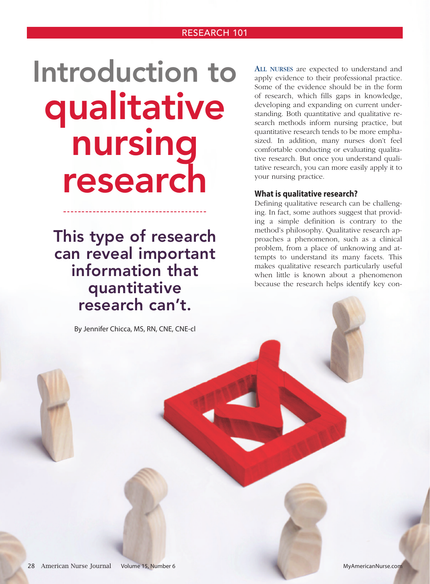# Introduction to qualitative nursing research

This type of research can reveal important information that quantitative research can't.

By Jennifer Chicca, MS, RN, CNE, CNE-cl

ALL NURSES are expected to understand and apply evidence to their professional practice. Some of the evidence should be in the form of research, which fills gaps in knowledge, developing and expanding on current understanding. Both quantitative and qualitative research methods inform nursing practice, but quantitative research tends to be more emphasized. In addition, many nurses don't feel comfortable conducting or evaluating qualitative research. But once you understand qualitative research, you can more easily apply it to your nursing practice.

#### **What is qualitative research?**

Defining qualitative research can be challenging. In fact, some authors suggest that providing a simple definition is contrary to the method's philosophy. Qualitative research approaches a phenomenon, such as a clinical problem, from a place of unknowing and attempts to understand its many facets. This makes qualitative research particularly useful when little is known about a phenomenon because the research helps identify key con-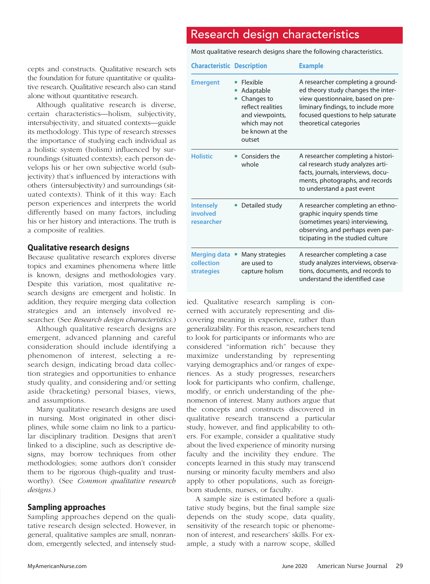## Research design characteristics

Most qualitative research designs share the following characteristics.

| cepts and constructs. Qualitative research sets    |
|----------------------------------------------------|
| the foundation for future quantitative or qualita- |
| tive research. Qualitative research also can stand |
| alone without quantitative research.               |

Although qualitative research is diverse, certain characteristics—holism, subjectivity, intersubjectivity, and situated contexts—guide its methodology. This type of research stresses the importance of studying each individual as a holistic system (holism) influenced by surroundings (situated contexts); each person develops his or her own subjective world (subjectivity) that's influenced by interactions with others (intersubjectivity) and surroundings (situated contexts). Think of it this way: Each person experiences and interprets the world differently based on many factors, including his or her history and interactions. The truth is a composite of realities.

#### **Qualitative research designs**

Because qualitative research explores diverse topics and examines phenomena where little is known, designs and methodologies vary. Despite this variation, most qualitative research designs are emergent and holistic. In addition, they require merging data collection strategies and an intensely involved researcher. (See *Research design characteristics*.)

Although qualitative research designs are emergent, advanced planning and careful consideration should include identifying a phenomenon of interest, selecting a research design, indicating broad data collection strategies and opportunities to enhance study quality, and considering and/or setting aside (bracketing) personal biases, views, and assumptions.

Many qualitative research designs are used in nursing. Most originated in other disciplines, while some claim no link to a particular disciplinary tradition. Designs that aren't linked to a discipline, such as descriptive designs, may borrow techniques from other methodologies; some authors don't consider them to be rigorous (high-quality and trustworthy). (See *Common qualitative research designs*.)

#### **Sampling approaches**

Sampling approaches depend on the qualitative research design selected. However, in general, qualitative samples are small, nonrandom, emergently selected, and intensely stud-

| <b>Characteristic Description</b>                      |                                                                                                                                        | <b>Example</b>                                                                                                                                                                                                     |
|--------------------------------------------------------|----------------------------------------------------------------------------------------------------------------------------------------|--------------------------------------------------------------------------------------------------------------------------------------------------------------------------------------------------------------------|
| <b>Emergent</b>                                        | Flexible<br>Adaptable<br>Changes to<br>$\bullet$<br>reflect realities<br>and viewpoints,<br>which may not<br>be known at the<br>outset | A researcher completing a ground-<br>ed theory study changes the inter-<br>view questionnaire, based on pre-<br>liminary findings, to include more<br>focused questions to help saturate<br>theoretical categories |
| <b>Holistic</b>                                        | Considers the<br>whole                                                                                                                 | A researcher completing a histori-<br>cal research study analyzes arti-<br>facts, journals, interviews, docu-<br>ments, photographs, and records<br>to understand a past event                                     |
| <b>Intensely</b><br>involved<br>researcher             | Detailed study                                                                                                                         | A researcher completing an ethno-<br>graphic inquiry spends time<br>(sometimes years) interviewing,<br>observing, and perhaps even par-<br>ticipating in the studied culture                                       |
| <b>Merging data</b><br>collection<br><b>strategies</b> | Many strategies<br>are used to<br>capture holism                                                                                       | A researcher completing a case<br>study analyzes interviews, observa-<br>tions, documents, and records to<br>understand the identified case                                                                        |

ied. Qualitative research sampling is concerned with accurately representing and discovering meaning in experience, rather than generalizability. For this reason, researchers tend to look for participants or informants who are considered "information rich" because they maximize understanding by representing varying demographics and/or ranges of experiences. As a study progresses, researchers look for participants who confirm, challenge, modify, or enrich understanding of the phenomenon of interest. Many authors argue that the concepts and constructs discovered in qualitative research transcend a particular study, however, and find applicability to others. For example, consider a qualitative study about the lived experience of minority nursing faculty and the incivility they endure. The concepts learned in this study may transcend nursing or minority faculty members and also apply to other populations, such as foreignborn students, nurses, or faculty.

A sample size is estimated before a qualitative study begins, but the final sample size depends on the study scope, data quality, sensitivity of the research topic or phenomenon of interest, and researchers' skills. For example, a study with a narrow scope, skilled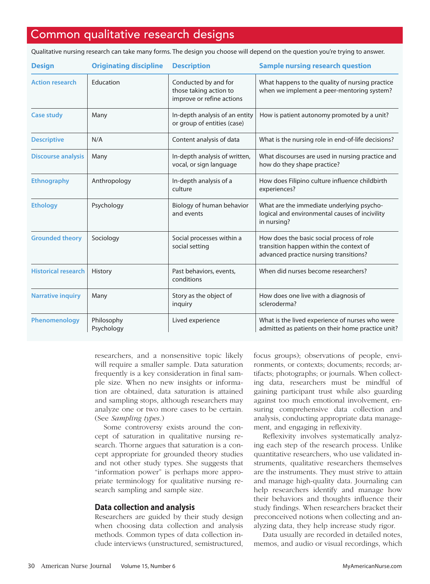## Common qualitative research designs

Qualitative nursing research can take many forms. The design you choose will depend on the question you're trying to answer.

| <b>Design</b>              | <b>Originating discipline</b> | <b>Description</b>                                                          | <b>Sample nursing research question</b>                                                                                        |
|----------------------------|-------------------------------|-----------------------------------------------------------------------------|--------------------------------------------------------------------------------------------------------------------------------|
| <b>Action research</b>     | Education                     | Conducted by and for<br>those taking action to<br>improve or refine actions | What happens to the quality of nursing practice<br>when we implement a peer-mentoring system?                                  |
| <b>Case study</b>          | Many                          | In-depth analysis of an entity<br>or group of entities (case)               | How is patient autonomy promoted by a unit?                                                                                    |
| <b>Descriptive</b>         | N/A                           | Content analysis of data                                                    | What is the nursing role in end-of-life decisions?                                                                             |
| <b>Discourse analysis</b>  | Many                          | In-depth analysis of written,<br>vocal, or sign language                    | What discourses are used in nursing practice and<br>how do they shape practice?                                                |
| <b>Ethnography</b>         | Anthropology                  | In-depth analysis of a<br>culture                                           | How does Filipino culture influence childbirth<br>experiences?                                                                 |
| <b>Ethology</b>            | Psychology                    | Biology of human behavior<br>and events                                     | What are the immediate underlying psycho-<br>logical and environmental causes of incivility<br>in nursing?                     |
| <b>Grounded theory</b>     | Sociology                     | Social processes within a<br>social setting                                 | How does the basic social process of role<br>transition happen within the context of<br>advanced practice nursing transitions? |
| <b>Historical research</b> | History                       | Past behaviors, events,<br>conditions                                       | When did nurses become researchers?                                                                                            |
| <b>Narrative inquiry</b>   | Many                          | Story as the object of<br>inquiry                                           | How does one live with a diagnosis of<br>scleroderma?                                                                          |
| Phenomenology              | Philosophy<br>Psychology      | Lived experience                                                            | What is the lived experience of nurses who were<br>admitted as patients on their home practice unit?                           |

researchers, and a nonsensitive topic likely will require a smaller sample. Data saturation frequently is a key consideration in final sample size. When no new insights or information are obtained, data saturation is attained and sampling stops, although researchers may analyze one or two more cases to be certain. (See *Sampling types*.)

Some controversy exists around the concept of saturation in qualitative nursing research. Thorne argues that saturation is a concept appropriate for grounded theory studies and not other study types. She suggests that "information power" is perhaps more appropriate terminology for qualitative nursing research sampling and sample size.

#### **Data collection and analysis**

Researchers are guided by their study design when choosing data collection and analysis methods. Common types of data collection include interviews (unstructured, semistructured,

focus groups); observations of people, environments, or contexts; documents; records; artifacts; photographs; or journals. When collecting data, researchers must be mindful of gaining participant trust while also guarding against too much emotional involvement, ensuring comprehensive data collection and analysis, conducting appropriate data management, and engaging in reflexivity.

Reflexivity involves systematically analyzing each step of the research process. Unlike quantitative researchers, who use validated instruments, qualitative researchers themselves are the instruments. They must strive to attain and manage high-quality data. Journaling can help researchers identify and manage how their behaviors and thoughts influence their study findings. When researchers bracket their preconceived notions when collecting and analyzing data, they help increase study rigor.

Data usually are recorded in detailed notes, memos, and audio or visual recordings, which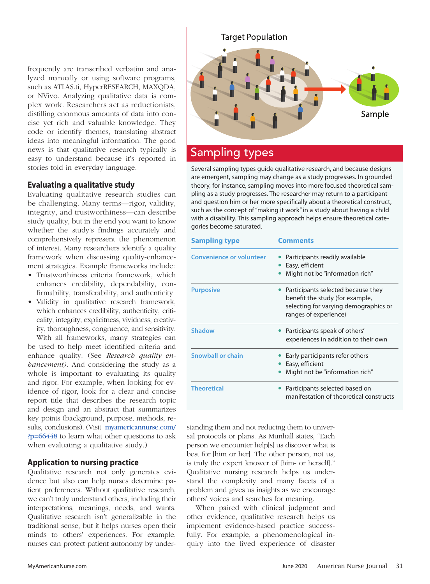frequently are transcribed verbatim and analyzed manually or using software programs, such as ATLAS.ti, HyperRESEARCH, MAXQDA, or NVivo. Analyzing qualitative data is complex work. Researchers act as reductionists, distilling enormous amounts of data into concise yet rich and valuable knowledge. They code or identify themes, translating abstract ideas into meaningful information. The good news is that qualitative research typically is easy to understand because it's reported in stories told in everyday language.

#### **Evaluating a qualitative study**

Evaluating qualitative research studies can be challenging. Many terms—rigor, validity, integrity, and trustworthiness—can describe study quality, but in the end you want to know whether the study's findings accurately and comprehensively represent the phenomenon of interest. Many researchers identify a quality framework when discussing quality-enhancement strategies. Example frameworks include:

- Trustworthiness criteria framework, which enhances credibility, dependability, confirmability, transferability, and authenticity
- Validity in qualitative research framework, which enhances credibility, authenticity, criticality, integrity, explicitness, vividness, creativity, thoroughness, congruence, and sensitivity.

With all frameworks, many strategies can be used to help meet identified criteria and enhance quality. (See *Research quality enhancement)*. And considering the study as a whole is important to evaluating its quality and rigor. For example, when looking for evidence of rigor, look for a clear and concise report title that describes the research topic and design and an abstract that summarizes key points (background, purpose, methods, results, conclusions). (Visit myamericannurse.com/ ?p=66448 to learn what other questions to ask when evaluating a qualitative study.)

#### **Application to nursing practice**

Qualitative research not only generates evidence but also can help nurses determine patient preferences. Without qualitative research, we can't truly understand others, including their interpretations, meanings, needs, and wants. Qualitative research isn't generalizable in the traditional sense, but it helps nurses open their minds to others' experiences. For example, nurses can protect patient autonomy by under-



### Sampling types

Several sampling types guide qualitative research, and because designs are emergent, sampling may change as a study progresses. In grounded theory, for instance, sampling moves into more focused theoretical sampling as a study progresses. The researcher may return to a participant and question him or her more specifically about a theoretical construct, such as the concept of "making it work" in a study about having a child with a disability. This sampling approach helps ensure theoretical categories become saturated.

| <b>Sampling type</b>            | <b>Comments</b>                                                                                                                         |  |
|---------------------------------|-----------------------------------------------------------------------------------------------------------------------------------------|--|
| <b>Convenience or volunteer</b> | Participants readily available<br>Easy, efficient<br>Might not be "information rich"                                                    |  |
| <b>Purposive</b>                | Participants selected because they<br>benefit the study (for example,<br>selecting for varying demographics or<br>ranges of experience) |  |
| <b>Shadow</b>                   | Participants speak of others'<br>experiences in addition to their own                                                                   |  |
| Snowball or chain               | Early participants refer others<br>Easy, efficient<br>Might not be "information rich"                                                   |  |
| <b>Theoretical</b>              | Participants selected based on<br>manifestation of theoretical constructs                                                               |  |

standing them and not reducing them to universal protocols or plans. As Munhall states, "Each person we encounter help[s] us discover what is best for [him or her]. The other person, not us, is truly the expert knower of [him- or herself]." Qualitative nursing research helps us understand the complexity and many facets of a problem and gives us insights as we encourage others' voices and searches for meaning.

When paired with clinical judgment and other evidence, qualitative research helps us implement evidence-based practice successfully. For example, a phenomenological inquiry into the lived experience of disaster